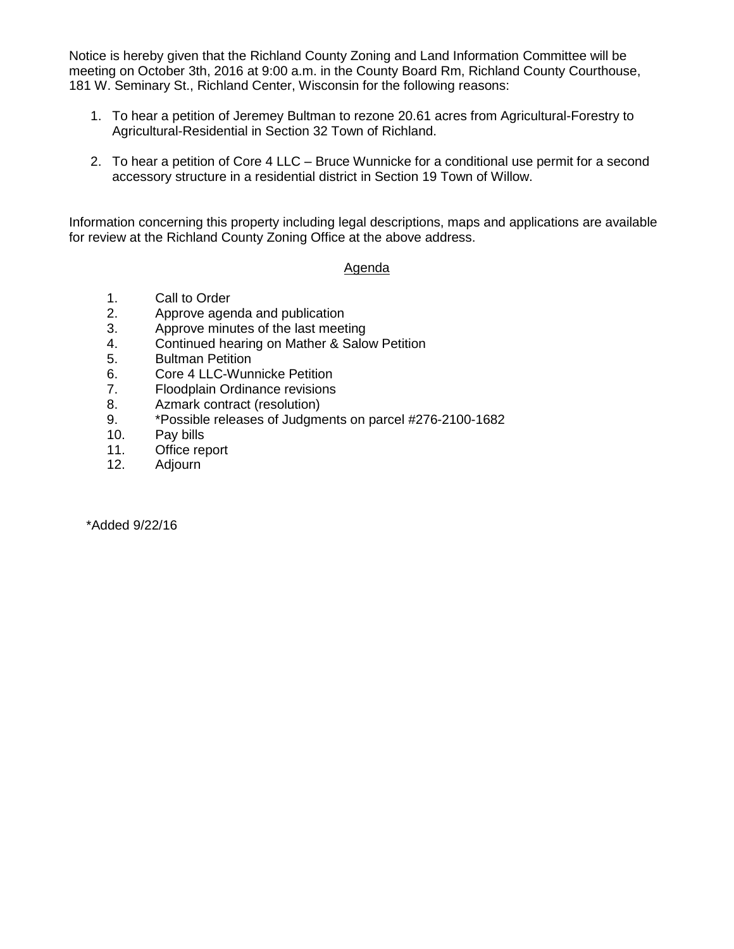Notice is hereby given that the Richland County Zoning and Land Information Committee will be meeting on October 3th, 2016 at 9:00 a.m. in the County Board Rm, Richland County Courthouse, 181 W. Seminary St., Richland Center, Wisconsin for the following reasons:

- 1. To hear a petition of Jeremey Bultman to rezone 20.61 acres from Agricultural-Forestry to Agricultural-Residential in Section 32 Town of Richland.
- 2. To hear a petition of Core 4 LLC Bruce Wunnicke for a conditional use permit for a second accessory structure in a residential district in Section 19 Town of Willow.

Information concerning this property including legal descriptions, maps and applications are available for review at the Richland County Zoning Office at the above address.

## Agenda

- 1. Call to Order
- 2. Approve agenda and publication
- 3. Approve minutes of the last meeting
- 4. Continued hearing on Mather & Salow Petition
- 5. Bultman Petition
- 6. Core 4 LLC-Wunnicke Petition
- 7. Floodplain Ordinance revisions
- 8. Azmark contract (resolution)
- 9. \*Possible releases of Judgments on parcel #276-2100-1682
- 10. Pay bills
- 11. Office report
- 12. Adjourn

\*Added 9/22/16